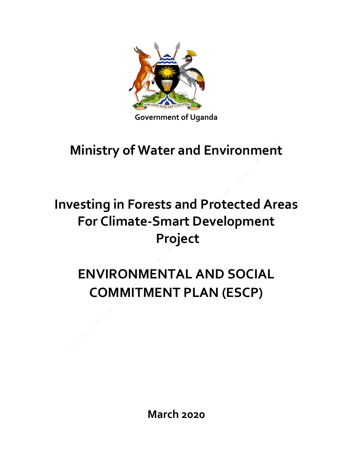

### **Ministry of Water and Environment**

## **Investing in Forests and Protected Areas For Climate-Smart Development Project**

# **ENVIRONMENTAL AND SOCIAL COMMITMENT PLAN (ESCP)**

**March 2020**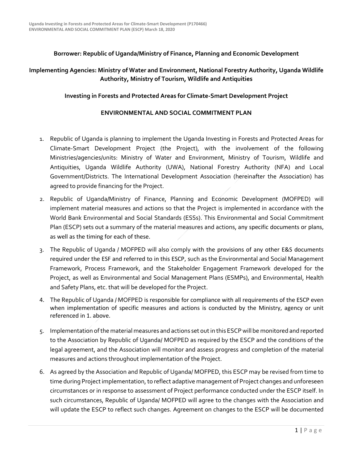#### **Borrower: Republic of Uganda/Ministry of Finance, Planning and Economic Development**

#### **Implementing Agencies: Ministry of Water and Environment, National Forestry Authority, Uganda Wildlife Authority, Ministry of Tourism, Wildlife and Antiquities**

#### **Investing in Forests and Protected Areas for Climate-Smart Development Project**

#### **ENVIRONMENTAL AND SOCIAL COMMITMENT PLAN**

- 1. Republic of Uganda is planning to implement the Uganda Investing in Forests and Protected Areas for Climate-Smart Development Project (the Project), with the involvement of the following Ministries/agencies/units: Ministry of Water and Environment, Ministry of Tourism, Wildlife and Antiquities, Uganda Wildlife Authority (UWA), National Forestry Authority (NFA) and Local Government/Districts. The International Development Association (hereinafter the Association) has agreed to provide financing for the Project.
- 2. Republic of Uganda/Ministry of Finance, Planning and Economic Development (MOFPED) will implement material measures and actions so that the Project is implemented in accordance with the World Bank Environmental and Social Standards (ESSs). This Environmental and Social Commitment Plan (ESCP) sets out a summary of the material measures and actions, any specific documents or plans, as well as the timing for each of these.
- 3. The Republic of Uganda / MOFPED will also comply with the provisions of any other E&S documents required under the ESF and referred to in this ESCP, such as the Environmental and Social Management Framework, Process Framework, and the Stakeholder Engagement Framework developed for the Project, as well as Environmental and Social Management Plans (ESMPs), and Environmental, Health and Safety Plans, etc. that will be developed for the Project.
- 4. The Republic of Uganda / MOFPED is responsible for compliance with all requirements of the ESCP even when implementation of specific measures and actions is conducted by the Ministry, agency or unit referenced in 1. above.
- 5. Implementation of the material measures and actions set out in this ESCP will be monitored and reported to the Association by Republic of Uganda/ MOFPED as required by the ESCP and the conditions of the legal agreement, and the Association will monitor and assess progress and completion of the material measures and actions throughout implementation of the Project.
- 6. As agreed by the Association and Republic of Uganda/ MOFPED, this ESCP may be revised from time to time during Project implementation, to reflect adaptive management of Project changes and unforeseen circumstances or in response to assessment of Project performance conducted under the ESCP itself. In such circumstances, Republic of Uganda/ MOFPED will agree to the changes with the Association and will update the ESCP to reflect such changes. Agreement on changes to the ESCP will be documented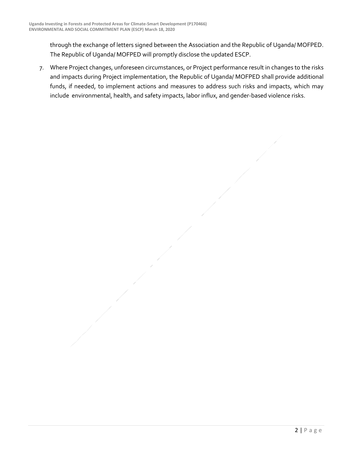through the exchange of letters signed between the Association and the Republic of Uganda/ MOFPED. The Republic of Uganda/ MOFPED will promptly disclose the updated ESCP.

7. Where Project changes, unforeseen circumstances, or Project performance result in changes to the risks and impacts during Project implementation, the Republic of Uganda/ MOFPED shall provide additional funds, if needed, to implement actions and measures to address such risks and impacts, which may include environmental, health, and safety impacts, labor influx, and gender-based violence risks.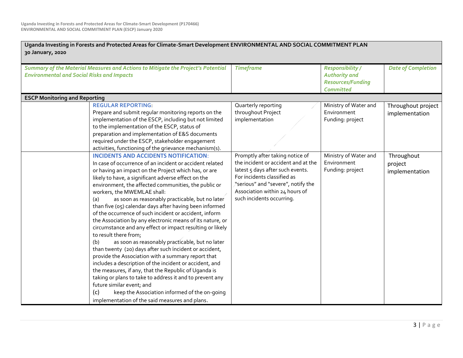| Uganda Investing in Forests and Protected Areas for Climate-Smart Development ENVIRONMENTAL AND SOCIAL COMMITMENT PLAN<br>30 January, 2020                                                                                                                                                                                                                                                                                                                                                                                                                                                                                                                                                                                                                                                                                                                                                                                                                                                                                                                                                                                                       |                                                                                                                                                                                                                                                |                                                                                                 |                                         |  |  |
|--------------------------------------------------------------------------------------------------------------------------------------------------------------------------------------------------------------------------------------------------------------------------------------------------------------------------------------------------------------------------------------------------------------------------------------------------------------------------------------------------------------------------------------------------------------------------------------------------------------------------------------------------------------------------------------------------------------------------------------------------------------------------------------------------------------------------------------------------------------------------------------------------------------------------------------------------------------------------------------------------------------------------------------------------------------------------------------------------------------------------------------------------|------------------------------------------------------------------------------------------------------------------------------------------------------------------------------------------------------------------------------------------------|-------------------------------------------------------------------------------------------------|-----------------------------------------|--|--|
| Summary of the Material Measures and Actions to Mitigate the Project's Potential<br><b>Environmental and Social Risks and Impacts</b>                                                                                                                                                                                                                                                                                                                                                                                                                                                                                                                                                                                                                                                                                                                                                                                                                                                                                                                                                                                                            | <b>Timeframe</b>                                                                                                                                                                                                                               | <b>Responsibility /</b><br><b>Authority and</b><br><b>Resources/Funding</b><br><b>Committed</b> | <b>Date of Completion</b>               |  |  |
| <b>ESCP Monitoring and Reporting</b>                                                                                                                                                                                                                                                                                                                                                                                                                                                                                                                                                                                                                                                                                                                                                                                                                                                                                                                                                                                                                                                                                                             |                                                                                                                                                                                                                                                |                                                                                                 |                                         |  |  |
| <b>REGULAR REPORTING:</b><br>Prepare and submit regular monitoring reports on the<br>implementation of the ESCP, including but not limited<br>to the implementation of the ESCP, status of<br>preparation and implementation of E&S documents<br>required under the ESCP, stakeholder engagement<br>activities, functioning of the grievance mechanism(s).                                                                                                                                                                                                                                                                                                                                                                                                                                                                                                                                                                                                                                                                                                                                                                                       | Quarterly reporting<br>throughout Project<br>implementation                                                                                                                                                                                    | Ministry of Water and<br>Environment<br>Funding: project                                        | Throughout project<br>implementation    |  |  |
| <b>INCIDENTS AND ACCIDENTS NOTIFICATION:</b><br>In case of occurrence of an incident or accident related<br>or having an impact on the Project which has, or are<br>likely to have, a significant adverse effect on the<br>environment, the affected communities, the public or<br>workers, the MWEMLAE shall:<br>as soon as reasonably practicable, but no later<br>(a)<br>than five (05) calendar days after having been informed<br>of the occurrence of such incident or accident, inform<br>the Association by any electronic means of its nature, or<br>circumstance and any effect or impact resulting or likely<br>to result there from;<br>as soon as reasonably practicable, but no later<br>(b)<br>than twenty (20) days after such incident or accident,<br>provide the Association with a summary report that<br>includes a description of the incident or accident, and<br>the measures, if any, that the Republic of Uganda is<br>taking or plans to take to address it and to prevent any<br>future similar event; and<br>(c)<br>keep the Association informed of the on-going<br>implementation of the said measures and plans. | Promptly after taking notice of<br>the incident or accident and at the<br>latest 5 days after such events.<br>For incidents classified as<br>"serious" and "severe", notify the<br>Association within 24 hours of<br>such incidents occurring. | Ministry of Water and<br>Environment<br>Funding: project                                        | Throughout<br>project<br>implementation |  |  |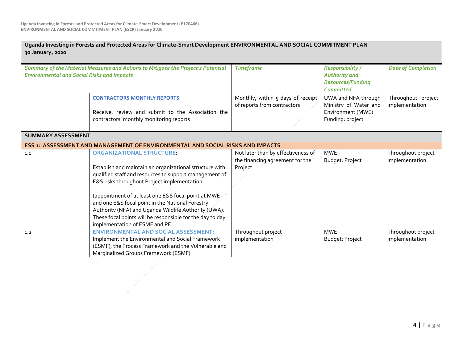| 30 January, 2020                                  | Uganda Investing in Forests and Protected Areas for Climate-Smart Development ENVIRONMENTAL AND SOCIAL COMMITMENT PLAN                                                                                                                                                                                                                                                                                                                                                 |                                                                                  |                                                                                                 |                                      |
|---------------------------------------------------|------------------------------------------------------------------------------------------------------------------------------------------------------------------------------------------------------------------------------------------------------------------------------------------------------------------------------------------------------------------------------------------------------------------------------------------------------------------------|----------------------------------------------------------------------------------|-------------------------------------------------------------------------------------------------|--------------------------------------|
| <b>Environmental and Social Risks and Impacts</b> | Summary of the Material Measures and Actions to Mitigate the Project's Potential                                                                                                                                                                                                                                                                                                                                                                                       | <b>Timeframe</b>                                                                 | <b>Responsibility /</b><br><b>Authority and</b><br><b>Resources/Funding</b><br><b>Committed</b> | <b>Date of Completion</b>            |
|                                                   | <b>CONTRACTORS MONTHLY REPORTS</b><br>Receive, review and submit to the Association the<br>contractors' monthly monitoring reports                                                                                                                                                                                                                                                                                                                                     | Monthly, within 5 days of receipt<br>of reports from contractors                 | UWA and NFA through<br>Ministry of Water and<br>Environment (MWE)<br>Funding: project           | Throughout project<br>implementation |
| <b>SUMMARY ASSESSMENT</b>                         |                                                                                                                                                                                                                                                                                                                                                                                                                                                                        |                                                                                  |                                                                                                 |                                      |
|                                                   | ESS 1: ASSESSMENT AND MANAGEMENT OF ENVIRONMENTAL AND SOCIAL RISKS AND IMPACTS                                                                                                                                                                                                                                                                                                                                                                                         |                                                                                  |                                                                                                 |                                      |
| 1.1                                               | <b>ORGANIZATIONAL STRUCTURE</b><br>Establish and maintain an organizational structure with<br>qualified staff and resources to support management of<br>E&S risks throughout Project implementation.<br>(appointment of at least one E&S focal point at MWE<br>and one E&S focal point in the National Forestry<br>Authority (NFA) and Uganda Wildlife Authority (UWA).<br>These focal points will be responsible for the day to day<br>implementation of ESMF and PF. | Not later than by effectiveness of<br>the financing agreement for the<br>Project | <b>MWE</b><br>Budget: Project                                                                   | Throughout project<br>implementation |
| 1.2                                               | <b>ENVIRONMENTAL AND SOCIAL ASSESSMENT:</b><br>Implement the Environmental and Social Framework<br>(ESMF), the Process Framework and the Vulnerable and<br>Marginalized Groups Framework (ESMF)                                                                                                                                                                                                                                                                        | Throughout project<br>implementation                                             | <b>MWE</b><br>Budget: Project                                                                   | Throughout project<br>implementation |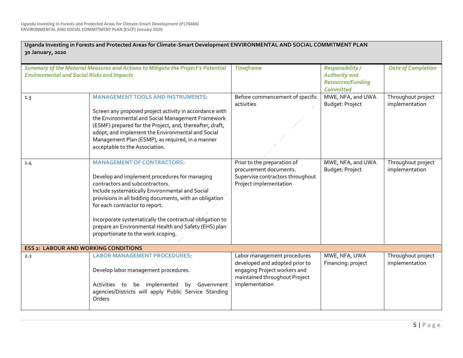| Uganda Investing in Forests and Protected Areas for Climate-Smart Development ENVIRONMENTAL AND SOCIAL COMMITMENT PLAN<br>30 January, 2020 |                                                                                                                                                                                                                                                                                                                                                                                                                                  |                                                                                                                                                  |                                                                                                 |                                      |  |  |
|--------------------------------------------------------------------------------------------------------------------------------------------|----------------------------------------------------------------------------------------------------------------------------------------------------------------------------------------------------------------------------------------------------------------------------------------------------------------------------------------------------------------------------------------------------------------------------------|--------------------------------------------------------------------------------------------------------------------------------------------------|-------------------------------------------------------------------------------------------------|--------------------------------------|--|--|
| Summary of the Material Measures and Actions to Mitigate the Project's Potential<br><b>Environmental and Social Risks and Impacts</b>      |                                                                                                                                                                                                                                                                                                                                                                                                                                  | <b>Timeframe</b>                                                                                                                                 | <b>Responsibility /</b><br><b>Authority and</b><br><b>Resources/Funding</b><br><b>Committed</b> | <b>Date of Completion</b>            |  |  |
| 1.3                                                                                                                                        | <b>MANAGEMENT TOOLS AND INSTRUMENTS:</b><br>Screen any proposed project activity in accordance with<br>the Environmental and Social Management Framework<br>(ESMF) prepared for the Project, and, thereafter, draft,<br>adopt, and implement the Environmental and Social<br>Management Plan (ESMP), as required, in a manner<br>acceptable to the Association.                                                                  | Before commencement of specific<br>activities                                                                                                    | MWE, NFA, and UWA<br>Budget: Project                                                            | Throughout project<br>implementation |  |  |
| 1.4                                                                                                                                        | <b>MANAGEMENT OF CONTRACTORS:</b><br>Develop and implement procedures for managing<br>contractors and subcontractors.<br>Include systematically Environmental and Social<br>provisions in all bidding documents, with an obligation<br>for each contractor to report.<br>Incorporate systematically the contractual obligation to<br>prepare an Environmental Health and Safety (EHS) plan<br>proportionate to the work scoping. | Prior to the preparation of<br>procurement documents.<br>Supervise contractors throughout<br>Project implementation                              | MWE, NFA, and UWA<br>Budget: Project                                                            | Throughout project<br>implementation |  |  |
| <b>ESS 2: LABOUR AND WORKING CONDITIONS</b>                                                                                                |                                                                                                                                                                                                                                                                                                                                                                                                                                  |                                                                                                                                                  |                                                                                                 |                                      |  |  |
| 2.1                                                                                                                                        | <b>LABOR MANAGEMENT PROCEDURES:</b><br>Develop labor management procedures.<br>be implemented<br>by Government<br>Activities to<br>agencies/Districts will apply Public Service Standing<br>Orders                                                                                                                                                                                                                               | Labor management procedures<br>developed and adopted prior to<br>engaging Project workers and<br>maintained throughout Project<br>implementation | MWE, NFA, UWA<br>Financing: project                                                             | Throughout project<br>implementation |  |  |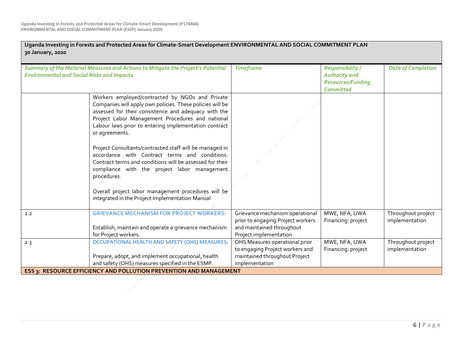| 30 January, 2020 | Uganda Investing in Forests and Protected Areas for Climate-Smart Development ENVIRONMENTAL AND SOCIAL COMMITMENT PLAN                                                                                                                                                                                                                                                                                                                                                                                                                                                                                                                                |                                                                                                                             |                                                                                                 |                                      |
|------------------|-------------------------------------------------------------------------------------------------------------------------------------------------------------------------------------------------------------------------------------------------------------------------------------------------------------------------------------------------------------------------------------------------------------------------------------------------------------------------------------------------------------------------------------------------------------------------------------------------------------------------------------------------------|-----------------------------------------------------------------------------------------------------------------------------|-------------------------------------------------------------------------------------------------|--------------------------------------|
|                  | Summary of the Material Measures and Actions to Mitigate the Project's Potential<br><b>Environmental and Social Risks and Impacts</b>                                                                                                                                                                                                                                                                                                                                                                                                                                                                                                                 | <b>Timeframe</b>                                                                                                            | <b>Responsibility /</b><br><b>Authority and</b><br><b>Resources/Funding</b><br><b>Committed</b> | <b>Date of Completion</b>            |
|                  | Workers employed/contracted by NGOs and Private<br>Companies will apply own policies. These policies will be<br>assessed for their consistence and adequacy with the<br>Project Labor Management Procedures and national<br>Labour laws prior to entering implementation contract<br>or agreements.<br>Project Consultants/contracted staff will be managed in<br>accordance with Contract terms and conditions.<br>Contract terms and conditions will be assessed for their<br>compliance with the project labor management<br>procedures.<br>Overall project labor management procedures will be<br>integrated in the Project Implementation Manual |                                                                                                                             |                                                                                                 |                                      |
| 2.2              | <b>GRIEVANCE MECHANISM FOR PROJECT WORKERS</b><br>Establish, maintain and operate a grievance mechanism<br>for Project workers.                                                                                                                                                                                                                                                                                                                                                                                                                                                                                                                       | Grievance mechanism operational<br>prior to engaging Project workers<br>and maintained throughout<br>Project implementation | MWE, NFA, UWA<br>Financing: project                                                             | Throughout project<br>implementation |
| 2.3              | <b>OCCUPATIONAL HEALTH AND SAFETY (OHS) MEASURES</b><br>Prepare, adopt, and implement occupational, health<br>and safety (OHS) measures specified in the ESMP.                                                                                                                                                                                                                                                                                                                                                                                                                                                                                        | OHS Measures operational prior<br>to engaging Project workers and<br>maintained throughout Project<br>implementation        | MWE, NFA, UWA<br>Financing: project                                                             | Throughout project<br>implementation |
|                  | ESS 3: RESOURCE EFFICIENCY AND POLLUTION PREVENTION AND MANAGEMENT                                                                                                                                                                                                                                                                                                                                                                                                                                                                                                                                                                                    |                                                                                                                             |                                                                                                 |                                      |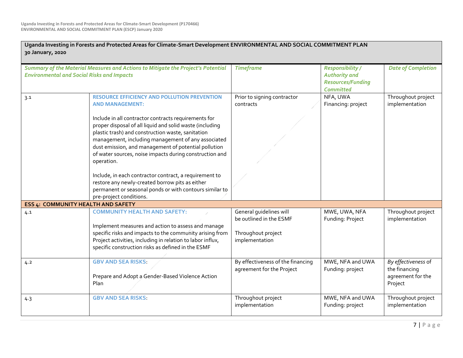| 30 January, 2020                                                                                                                      | Uganda Investing in Forests and Protected Areas for Climate-Smart Development ENVIRONMENTAL AND SOCIAL COMMITMENT PLAN                                                                                                                                                                                                                                       |                                                                |                                                                                                 |                                                                      |
|---------------------------------------------------------------------------------------------------------------------------------------|--------------------------------------------------------------------------------------------------------------------------------------------------------------------------------------------------------------------------------------------------------------------------------------------------------------------------------------------------------------|----------------------------------------------------------------|-------------------------------------------------------------------------------------------------|----------------------------------------------------------------------|
| Summary of the Material Measures and Actions to Mitigate the Project's Potential<br><b>Environmental and Social Risks and Impacts</b> |                                                                                                                                                                                                                                                                                                                                                              | <b>Timeframe</b>                                               | <b>Responsibility /</b><br><b>Authority and</b><br><b>Resources/Funding</b><br><b>Committed</b> | <b>Date of Completion</b>                                            |
| 3.1                                                                                                                                   | <b>RESOURCE EFFICIENCY AND POLLUTION PREVENTION</b><br><b>AND MANAGEMENT:</b>                                                                                                                                                                                                                                                                                | Prior to signing contractor<br>contracts                       | NFA, UWA<br>Financing: project                                                                  | Throughout project<br>implementation                                 |
|                                                                                                                                       | Include in all contractor contracts requirements for<br>proper disposal of all liquid and solid waste (including<br>plastic trash) and construction waste, sanitation<br>management, including management of any associated<br>dust emission, and management of potential pollution<br>of water sources, noise impacts during construction and<br>operation. |                                                                |                                                                                                 |                                                                      |
|                                                                                                                                       | Include, in each contractor contract, a requirement to<br>restore any newly-created borrow pits as either<br>permanent or seasonal ponds or with contours similar to<br>pre-project conditions.                                                                                                                                                              |                                                                |                                                                                                 |                                                                      |
| ESS 4: COMMUNITY HEALTH AND SAFETY                                                                                                    |                                                                                                                                                                                                                                                                                                                                                              |                                                                |                                                                                                 |                                                                      |
| 4.1                                                                                                                                   | <b>COMMUNITY HEALTH AND SAFETY:</b><br>Implement measures and action to assess and manage                                                                                                                                                                                                                                                                    | General quidelines will<br>be outlined in the ESMF             | MWE, UWA, NFA<br>Funding: Project                                                               | Throughout project<br>implementation                                 |
|                                                                                                                                       | specific risks and impacts to the community arising from<br>Project activities, including in relation to labor influx,<br>specific construction risks as defined in the ESMF                                                                                                                                                                                 | Throughout project<br>implementation                           |                                                                                                 |                                                                      |
| 4.2                                                                                                                                   | <b>GBV AND SEA RISKS</b><br>Prepare and Adopt a Gender-Based Violence Action<br>Plan                                                                                                                                                                                                                                                                         | By effectiveness of the financing<br>agreement for the Project | MWE, NFA and UWA<br>Funding: project                                                            | By effectiveness of<br>the financing<br>agreement for the<br>Project |
| 4.3                                                                                                                                   | <b>GBV AND SEA RISKS</b>                                                                                                                                                                                                                                                                                                                                     | Throughout project<br>implementation                           | MWE, NFA and UWA<br>Funding: project                                                            | Throughout project<br>implementation                                 |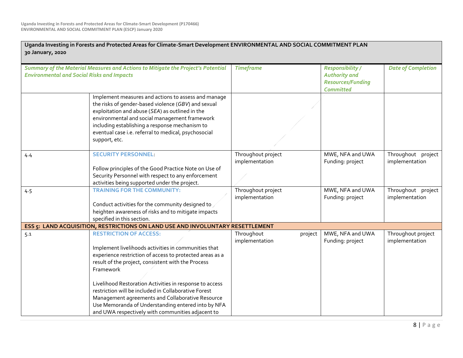| 30 January, 2020                                                                                                                      | Uganda Investing in Forests and Protected Areas for Climate-Smart Development ENVIRONMENTAL AND SOCIAL COMMITMENT PLAN                                                                                                                                                                                                                                                                                                                                                                                 |                                         |                                                                                                 |                                      |
|---------------------------------------------------------------------------------------------------------------------------------------|--------------------------------------------------------------------------------------------------------------------------------------------------------------------------------------------------------------------------------------------------------------------------------------------------------------------------------------------------------------------------------------------------------------------------------------------------------------------------------------------------------|-----------------------------------------|-------------------------------------------------------------------------------------------------|--------------------------------------|
| Summary of the Material Measures and Actions to Mitigate the Project's Potential<br><b>Environmental and Social Risks and Impacts</b> |                                                                                                                                                                                                                                                                                                                                                                                                                                                                                                        | <b>Timeframe</b>                        | <b>Responsibility /</b><br><b>Authority and</b><br><b>Resources/Funding</b><br><b>Committed</b> | <b>Date of Completion</b>            |
|                                                                                                                                       | Implement measures and actions to assess and manage<br>the risks of gender-based violence (GBV) and sexual<br>exploitation and abuse (SEA) as outlined in the<br>environmental and social management framework<br>including establishing a response mechanism to<br>eventual case i.e. referral to medical, psychosocial<br>support, etc.                                                                                                                                                              |                                         |                                                                                                 |                                      |
| 4.4                                                                                                                                   | <b>SECURITY PERSONNEL:</b><br>Follow principles of the Good Practice Note on Use of<br>Security Personnel with respect to any enforcement<br>activities being supported under the project.                                                                                                                                                                                                                                                                                                             | Throughout project<br>implementation    | MWE, NFA and UWA<br>Funding: project                                                            | Throughout project<br>implementation |
| 4.5                                                                                                                                   | <b>TRAINING FOR THE COMMUNITY:</b><br>Conduct activities for the community designed to<br>heighten awareness of risks and to mitigate impacts<br>specified in this section.                                                                                                                                                                                                                                                                                                                            | Throughout project<br>implementation    | MWE, NFA and UWA<br>Funding: project                                                            | Throughout project<br>implementation |
|                                                                                                                                       | ESS 5: LAND ACQUISITION, RESTRICTIONS ON LAND USE AND INVOLUNTARY RESETTLEMENT                                                                                                                                                                                                                                                                                                                                                                                                                         |                                         |                                                                                                 |                                      |
| 5.1                                                                                                                                   | <b>RESTRICTION OF ACCESS:</b><br>Implement livelihoods activities in communities that<br>experience restriction of access to protected areas as a<br>result of the project, consistent with the Process<br>Framework<br>Livelihood Restoration Activities in response to access<br>restriction will be included in Collaborative Forest<br>Management agreements and Collaborative Resource<br>Use Memoranda of Understanding entered into by NFA<br>and UWA respectively with communities adjacent to | Throughout<br>project<br>implementation | MWE, NFA and UWA<br>Funding: project                                                            | Throughout project<br>implementation |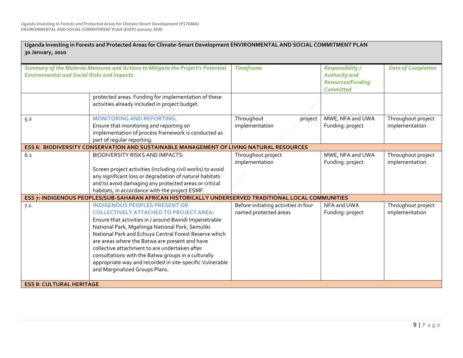| 30 January, 2020                                                                                                                      | Uganda Investing in Forests and Protected Areas for Climate-Smart Development ENVIRONMENTAL AND SOCIAL COMMITMENT PLAN                                                                                                                                                                                                                                                                                                                                                                                              |                                                               |                                                                                                 |                                      |
|---------------------------------------------------------------------------------------------------------------------------------------|---------------------------------------------------------------------------------------------------------------------------------------------------------------------------------------------------------------------------------------------------------------------------------------------------------------------------------------------------------------------------------------------------------------------------------------------------------------------------------------------------------------------|---------------------------------------------------------------|-------------------------------------------------------------------------------------------------|--------------------------------------|
| Summary of the Material Measures and Actions to Mitigate the Project's Potential<br><b>Environmental and Social Risks and Impacts</b> |                                                                                                                                                                                                                                                                                                                                                                                                                                                                                                                     | <b>Timeframe</b>                                              | <b>Responsibility /</b><br><b>Authority and</b><br><b>Resources/Funding</b><br><b>Committed</b> | <b>Date of Completion</b>            |
|                                                                                                                                       | protected areas. Funding for implementation of these<br>activities already included in project budget.                                                                                                                                                                                                                                                                                                                                                                                                              |                                                               |                                                                                                 |                                      |
| 5.2                                                                                                                                   | <b>MONITORING AND REPORTING:</b><br>Ensure that monitoring and reporting on<br>implementation of process framework is conducted as<br>part of regular reporting.                                                                                                                                                                                                                                                                                                                                                    | Throughout<br>project<br>implementation                       | MWE, NFA and UWA<br>Funding: project                                                            | Throughout project<br>implementation |
|                                                                                                                                       | ESS 6: BIODIVERSITY CONSERVATION AND SUSTAINABLE MANAGEMENT OF LIVING NATURAL RESOURCES                                                                                                                                                                                                                                                                                                                                                                                                                             |                                                               |                                                                                                 |                                      |
| 6.1                                                                                                                                   | BIODIVERSITY RISKS AND IMPACTS:<br>Screen project activities (including civil works) to avoid                                                                                                                                                                                                                                                                                                                                                                                                                       | Throughout project<br>implementation                          | MWE, NFA and UWA<br>Funding: project                                                            | Throughout project<br>implementation |
|                                                                                                                                       | any significant loss or degradation of natural habitats<br>and to avoid damaging any protected areas or critical<br>habitats, in accordance with the project ESMF.                                                                                                                                                                                                                                                                                                                                                  |                                                               |                                                                                                 |                                      |
|                                                                                                                                       | ESS 7: INDIGENOUS PEOPLES/SUB-SAHARAN AFRICAN HISTORICALLY UNDERSERVED TRADITIONAL LOCAL COMMUNITIES                                                                                                                                                                                                                                                                                                                                                                                                                |                                                               |                                                                                                 |                                      |
| 7.1.                                                                                                                                  | <b>INDIGENOUS PEOPLES PRESENT OR</b><br><b>COLLECTIVELY ATTACHED TO PROJECT AREA:</b><br>Ensure that activities in / around Bwindi Impenetrable<br>National Park, Mgahinga National Park, Semuliki<br>National Park and Echuya Central Forest Reserve which<br>are areas where the Batwa are present and have<br>collective attachment to are undertaken after<br>consultations with the Batwa groups in a culturally<br>appropriate way and recorded in site-specific Vulnerable<br>and Marginalized Groups Plans. | Before initiating activities in four<br>named protected areas | NFA and UWA<br>Funding: project                                                                 | Throughout project<br>implementation |
| <b>ESS 8: CULTURAL HERITAGE</b>                                                                                                       |                                                                                                                                                                                                                                                                                                                                                                                                                                                                                                                     |                                                               |                                                                                                 |                                      |